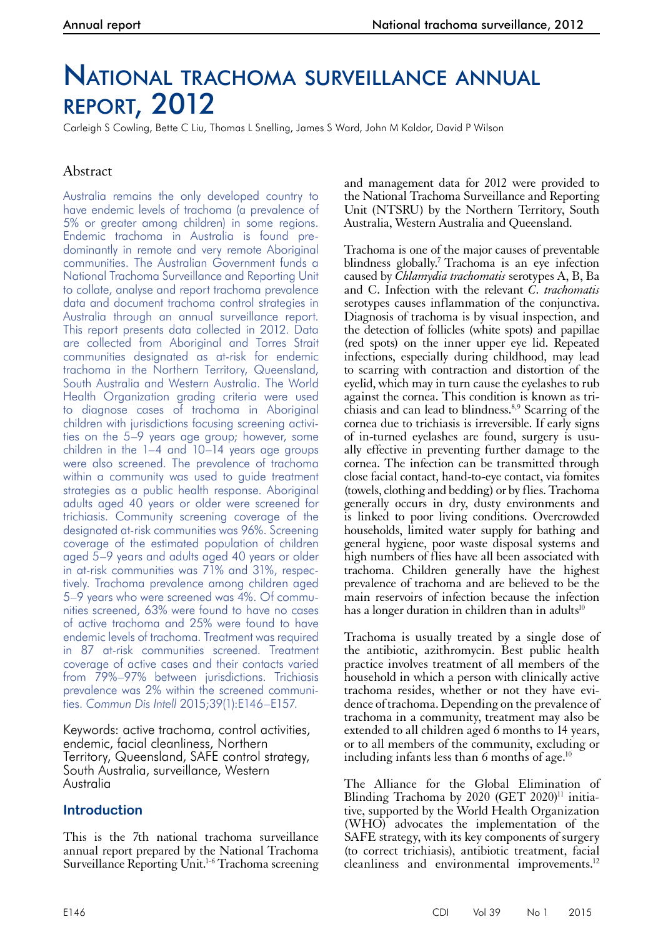# National trachoma surveillance annual report, 2012

Carleigh S Cowling, Bette C Liu, Thomas L Snelling, James S Ward, John M Kaldor, David P Wilson

# Abstract

Australia remains the only developed country to have endemic levels of trachoma (a prevalence of 5% or greater among children) in some regions. Endemic trachoma in Australia is found predominantly in remote and very remote Aboriginal communities. The Australian Government funds a National Trachoma Surveillance and Reporting Unit to collate, analyse and report trachoma prevalence data and document trachoma control strategies in Australia through an annual surveillance report. This report presents data collected in 2012. Data are collected from Aboriginal and Torres Strait communities designated as at-risk for endemic trachoma in the Northern Territory, Queensland, South Australia and Western Australia. The World Health Organization grading criteria were used to diagnose cases of trachoma in Aboriginal children with jurisdictions focusing screening activities on the 5–9 years age group; however, some children in the 1–4 and 10–14 years age groups were also screened. The prevalence of trachoma within a community was used to guide treatment strategies as a public health response. Aboriginal adults aged 40 years or older were screened for trichiasis. Community screening coverage of the designated at-risk communities was 96%. Screening coverage of the estimated population of children aged 5–9 years and adults aged 40 years or older in at-risk communities was 71% and 31%, respectively. Trachoma prevalence among children aged 5–9 years who were screened was 4%. Of communities screened, 63% were found to have no cases of active trachoma and 25% were found to have endemic levels of trachoma. Treatment was required in 87 at-risk communities screened. Treatment coverage of active cases and their contacts varied from 79%–97% between jurisdictions. Trichiasis prevalence was 2% within the screened communities. *Commun Dis Intell* 2015;39(1):E146–E157.

Keywords: active trachoma, control activities, endemic, facial cleanliness, Northern Territory, Queensland, SAFE control strategy, South Australia, surveillance, Western Australia

# **Introduction**

This is the 7th national trachoma surveillance annual report prepared by the National Trachoma Surveillance Reporting Unit.<sup>1-6</sup> Trachoma screening

and management data for 2012 were provided to the National Trachoma Surveillance and Reporting Unit (NTSRU) by the Northern Territory, South Australia, Western Australia and Queensland.

Trachoma is one of the major causes of preventable blindness globally.<sup>7</sup> Trachoma is an eye infection caused by *Chlamydia trachomatis* serotypes A, B, Ba and C. Infection with the relevant *C. trachomatis* serotypes causes inflammation of the conjunctiva. Diagnosis of trachoma is by visual inspection, and the detection of follicles (white spots) and papillae (red spots) on the inner upper eye lid. Repeated infections, especially during childhood, may lead to scarring with contraction and distortion of the eyelid, which may in turn cause the eyelashes to rub against the cornea. This condition is known as trichiasis and can lead to blindness.8,9 Scarring of the cornea due to trichiasis is irreversible. If early signs of in-turned eyelashes are found, surgery is usually effective in preventing further damage to the cornea. The infection can be transmitted through close facial contact, hand-to-eye contact, via fomites (towels, clothing and bedding) or by flies. Trachoma generally occurs in dry, dusty environments and is linked to poor living conditions. Overcrowded households, limited water supply for bathing and general hygiene, poor waste disposal systems and high numbers of flies have all been associated with trachoma. Children generally have the highest prevalence of trachoma and are believed to be the main reservoirs of infection because the infection has a longer duration in children than in adults $10<sup>10</sup>$ 

Trachoma is usually treated by a single dose of the antibiotic, azithromycin. Best public health practice involves treatment of all members of the household in which a person with clinically active trachoma resides, whether or not they have evidence of trachoma. Depending on the prevalence of trachoma in a community, treatment may also be extended to all children aged 6 months to 14 years, or to all members of the community, excluding or including infants less than 6 months of age. $^{10}$ 

The Alliance for the Global Elimination of Blinding Trachoma by  $2020$  (GET  $2020$ <sup>11</sup> initiative, supported by the World Health Organization (WHO) advocates the implementation of the SAFE strategy, with its key components of surgery (to correct trichiasis), antibiotic treatment, facial cleanliness and environmental improvements.12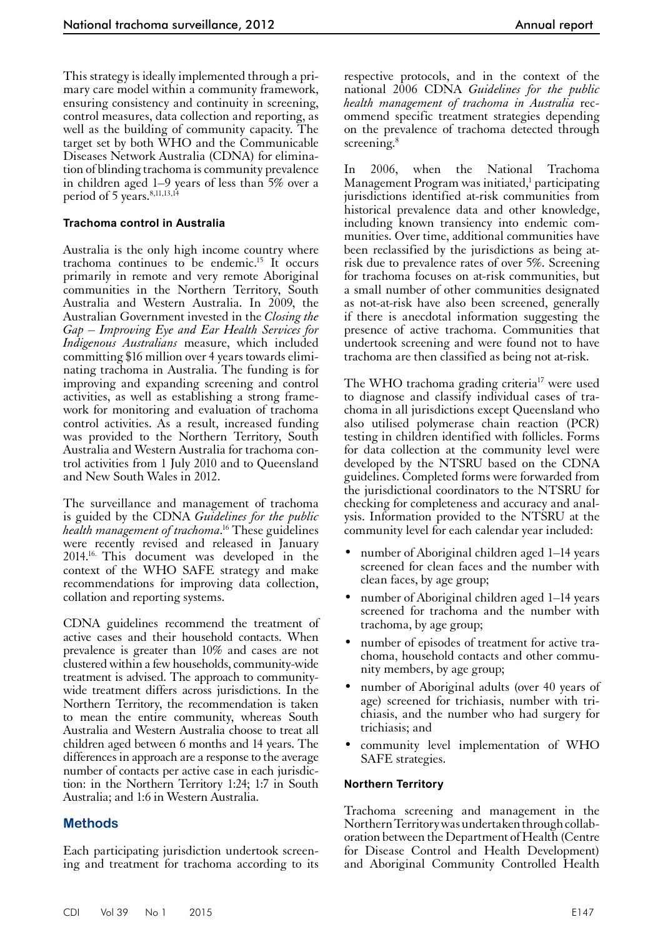This strategy is ideally implemented through a primary care model within a community framework, ensuring consistency and continuity in screening, control measures, data collection and reporting, as well as the building of community capacity. The target set by both WHO and the Communicable Diseases Network Australia (CDNA) for elimination of blinding trachoma is community prevalence in children aged 1–9 years of less than 5% over a period of 5 years.<sup>8,11,13,14</sup>

#### **Trachoma control in Australia**

Australia is the only high income country where trachoma continues to be endemic.15 It occurs primarily in remote and very remote Aboriginal communities in the Northern Territory, South Australia and Western Australia. In 2009, the Australian Government invested in the *Closing the Gap – Improving Eye and Ear Health Services for Indigenous Australians* measure, which included committing \$16 million over 4 years towards eliminating trachoma in Australia. The funding is for improving and expanding screening and control activities, as well as establishing a strong framework for monitoring and evaluation of trachoma control activities. As a result, increased funding was provided to the Northern Territory, South Australia and Western Australia for trachoma control activities from 1 July 2010 and to Queensland and New South Wales in 2012.

The surveillance and management of trachoma is guided by the CDNA *Guidelines for the public health management of trachoma*. 16 These guidelines were recently revised and released in January 2014.16. This document was developed in the context of the WHO SAFE strategy and make recommendations for improving data collection, collation and reporting systems.

CDNA guidelines recommend the treatment of active cases and their household contacts. When prevalence is greater than 10% and cases are not clustered within a few households, community-wide treatment is advised. The approach to communitywide treatment differs across jurisdictions. In the Northern Territory, the recommendation is taken to mean the entire community, whereas South Australia and Western Australia choose to treat all children aged between 6 months and 14 years. The differences in approach are a response to the average number of contacts per active case in each jurisdic- tion: in the Northern Territory 1:24; 1:7 in South Australia; and 1:6 in Western Australia.

# **Methods**

Each participating jurisdiction undertook screening and treatment for trachoma according to its

respective protocols, and in the context of the national 2006 CDNA *Guidelines for the public health management of trachoma in Australia* recommend specific treatment strategies depending on the prevalence of trachoma detected through screening.<sup>8</sup>

In 2006, when the National Trachoma Management Program was initiated,<sup>1</sup> participating jurisdictions identified at-risk communities from historical prevalence data and other knowledge, including known transiency into endemic communities. Over time, additional communities have been reclassified by the jurisdictions as being atrisk due to prevalence rates of over 5%. Screening for trachoma focuses on at-risk communities, but a small number of other communities designated as not-at-risk have also been screened, generally if there is anecdotal information suggesting the presence of active trachoma. Communities that undertook screening and were found not to have trachoma are then classified as being not at-risk.

The WHO trachoma grading criteria<sup>17</sup> were used to diagnose and classify individual cases of trachoma in all jurisdictions except Queensland who also utilised polymerase chain reaction (PCR) testing in children identified with follicles. Forms for data collection at the community level were developed by the NTSRU based on the CDNA guidelines. Completed forms were forwarded from the jurisdictional coordinators to the NTSRU for checking for completeness and accuracy and analysis. Information provided to the NTSRU at the community level for each calendar year included:

- number of Aboriginal children aged 1–14 years screened for clean faces and the number with clean faces, by age group;
- number of Aboriginal children aged 1–14 years screened for trachoma and the number with trachoma, by age group;
- number of episodes of treatment for active tra-<br>choma, household contacts and other commu-<br>nity members, by age group;
- number of Aboriginal adults (over 40 years of age) screened for trichiasis, number with trichiasis, and the number who had surgery for trichiasis; and
- community level implementation of WHO SAFE strategies.

# **Northern Territory**

Trachoma screening and management in the Northern Territory was undertaken through collaboration between the Department of Health (Centre for Disease Control and Health Development) and Aboriginal Community Controlled Health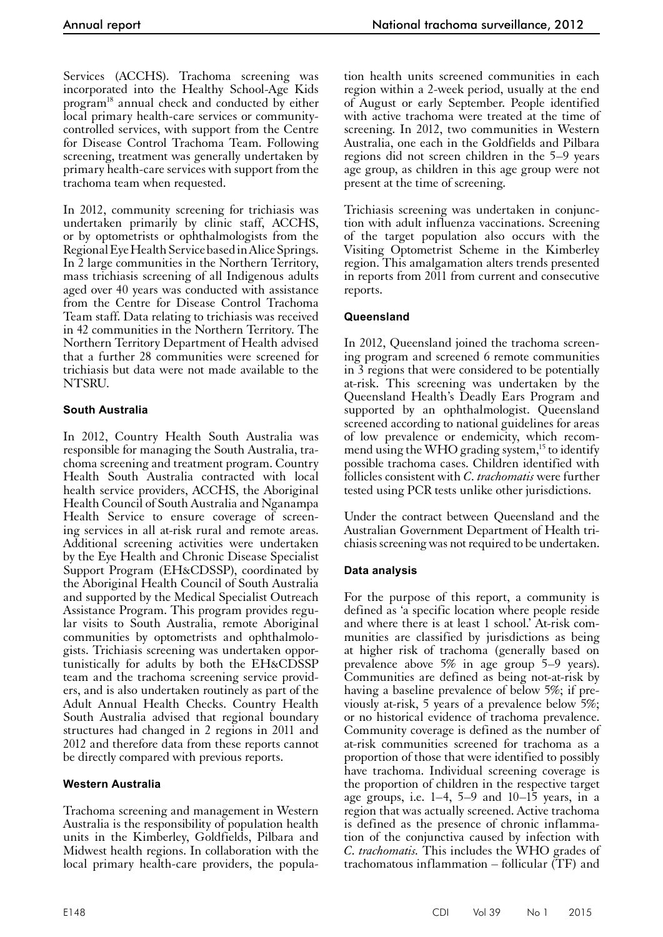Services (ACCHS). Trachoma screening was incorporated into the Healthy School-Age Kids program18 annual check and conducted by either local primary health-care services or communitycontrolled services, with support from the Centre for Disease Control Trachoma Team. Following screening, treatment was generally undertaken by primary health-care services with support from the trachoma team when requested.

In 2012, community screening for trichiasis was undertaken primarily by clinic staff, ACCHS, or by optometrists or ophthalmologists from the Regional Eye Health Service based in Alice Springs. In 2 large communities in the Northern Territory, mass trichiasis screening of all Indigenous adults aged over 40 years was conducted with assistance from the Centre for Disease Control Trachoma Team staff. Data relating to trichiasis was received in 42 communities in the Northern Territory. The Northern Territory Department of Health advised that a further 28 communities were screened for trichiasis but data were not made available to the NTSRU.

# **South Australia**

In 2012, Country Health South Australia was responsible for managing the South Australia, trachoma screening and treatment program. Country Health South Australia contracted with local health service providers, ACCHS, the Aboriginal Health Council of South Australia and Nganampa Health Service to ensure coverage of screen-<br>ing services in all at-risk rural and remote areas. Additional screening activities were undertaken by the Eye Health and Chronic Disease Specialist Support Program (EH&CDSSP), coordinated by the Aboriginal Health Council of South Australia and supported by the Medical Specialist Outreach Assistance Program. This program provides regu- lar visits to South Australia, remote Aboriginal communities by optometrists and ophthalmolo- gists. Trichiasis screening was undertaken opportunistically for adults by both the EH&CDSSP team and the trachoma screening service providers, and is also undertaken routinely as part of the Adult Annual Health Checks. Country Health South Australia advised that regional boundary structures had changed in 2 regions in 2011 and 2012 and therefore data from these reports cannot be directly compared with previous reports.

# **Western Australia**

Trachoma screening and management in Western Australia is the responsibility of population health units in the Kimberley, Goldfields, Pilbara and Midwest health regions. In collaboration with the local primary health-care providers, the popula-

tion health units screened communities in each region within a 2-week period, usually at the end of August or early September. People identified with active trachoma were treated at the time of screening. In 2012, two communities in Western Australia, one each in the Goldfields and Pilbara regions did not screen children in the 5–9 years age group, as children in this age group were not present at the time of screening.

Trichiasis screening was undertaken in conjunction with adult influenza vaccinations. Screening of the target population also occurs with the Visiting Optometrist Scheme in the Kimberley region. This amalgamation alters trends presented in reports from 2011 from current and consecutive reports.

# **Queensland**

In 2012, Queensland joined the trachoma screening program and screened 6 remote communities in 3 regions that were considered to be potentially at-risk. This screening was undertaken by the Queensland Health's Deadly Ears Program and supported by an ophthalmologist. Queensland screened according to national guidelines for areas of low prevalence or endemicity, which recommend using the WHO grading system,<sup>15</sup> to identify possible trachoma cases. Children identified with follicles consistent with *C. trachomatis* were further tested using PCR tests unlike other jurisdictions.

Under the contract between Queensland and the Australian Government Department of Health tri- chiasis screening was not required to be undertaken.

# **Data analysis**

For the purpose of this report, a community is defined as 'a specific location where people reside and where there is at least 1 school.' At-risk com- munities are classified by jurisdictions as being at higher risk of trachoma (generally based on prevalence above 5% in age group 5–9 years). Communities are defined as being not-at-risk by having a baseline prevalence of below 5%; if previously at-risk, 5 years of a prevalence below 5%; or no historical evidence of trachoma prevalence. Community coverage is defined as the number of at-risk communities screened for trachoma as a proportion of those that were identified to possibly have trachoma. Individual screening coverage is the proportion of children in the respective target age groups, i.e.  $1-4$ ,  $5-9$  and  $10-15$  years, in a region that was actually screened. Active trachoma is defined as the presence of chronic inflammation of the conjunctiva caused by infection with *C. trachomatis.* This includes the WHO grades of trachomatous inflammation – follicular (TF) and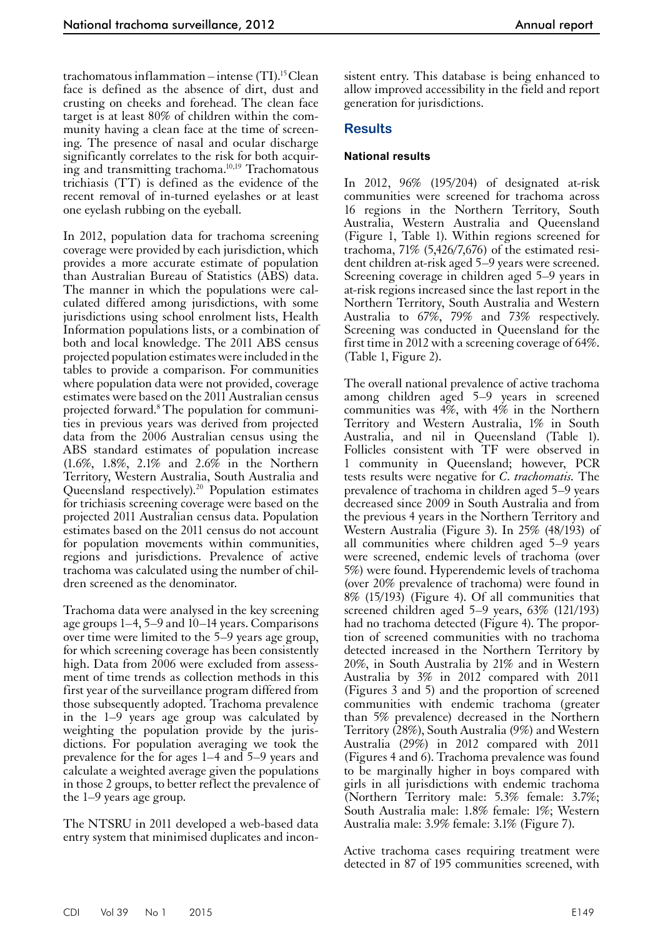trachomatous inflammation – intense  $(TI).$ <sup>15</sup> Clean face is defined as the absence of dirt, dust and crusting on cheeks and forehead. The clean face target is at least 80% of children within the community having a clean face at the time of screening. The presence of nasal and ocular discharge significantly correlates to the risk for both acquiring and transmitting trachoma.10,19 Trachomatous trichiasis (TT) is defined as the evidence of the recent removal of in-turned eyelashes or at least one eyelash rubbing on the eyeball.

In 2012, population data for trachoma screening coverage were provided by each jurisdiction, which provides a more accurate estimate of population than Australian Bureau of Statistics (ABS) data. The manner in which the populations were calculated differed among jurisdictions, with some jurisdictions using school enrolment lists, Health Information populations lists, or a combination of both and local knowledge. The 2011 ABS census projected population estimates were included in the tables to provide a comparison. For communities where population data were not provided, coverage estimates were based on the 2011 Australian census projected forward.8 The population for communities in previous years was derived from projected data from the 2006 Australian census using the ABS standard estimates of population increase (1.6%, 1.8%, 2.1% and 2.6% in the Northern Territory, Western Australia, South Australia and Queensland respectively).<sup>20</sup> Population estimates for trichiasis screening coverage were based on the projected 2011 Australian census data. Population estimates based on the 2011 census do not account for population movements within communities, regions and jurisdictions. Prevalence of active trachoma was calculated using the number of chil- dren screened as the denominator.

Trachoma data were analysed in the key screening age groups 1–4, 5–9 and 10–14 years. Comparisons over time were limited to the 5–9 years age group, for which screening coverage has been consistently high. Data from 2006 were excluded from assessment of time trends as collection methods in this first year of the surveillance program differed from those subsequently adopted. Trachoma prevalence in the 1–9 years age group was calculated by weighting the population provide by the jurisdictions. For population averaging we took the prevalence for the for ages 1–4 and 5–9 years and calculate a weighted average given the populations in those 2 groups, to better reflect the prevalence of the 1–9 years age group.

The NTSRU in 2011 developed a web-based data entry system that minimised duplicates and inconsistent entry. This database is being enhanced to allow improved accessibility in the field and report generation for jurisdictions.

# **Results**

## **National results**

In 2012, 96% (195/204) of designated at-risk communities were screened for trachoma across 16 regions in the Northern Territory, South Australia, Western Australia and Queensland (Figure 1, Table 1). Within regions screened for trachoma, 71% (5,426/7,676) of the estimated resident children at-risk aged 5–9 years were screened. Screening coverage in children aged 5–9 years in at-risk regions increased since the last report in the Northern Territory, South Australia and Western Australia to 67%, 79% and 73% respectively. Screening was conducted in Queensland for the first time in 2012 with a screening coverage of 64%. (Table 1, Figure 2).

The overall national prevalence of active trachoma among children aged 5–9 years in screened communities was  $4\%$ , with  $4\%$  in the Northern Territory and Western Australia, 1% in South Australia, and nil in Queensland (Table 1). Follicles consistent with TF were observed in 1 community in Queensland; however, PCR tests results were negative for *C. trachomatis.* The prevalence of trachoma in children aged 5–9 years decreased since 2009 in South Australia and from the previous 4 years in the Northern Territory and Western Australia (Figure 3). In 25% (48/193) of all communities where children aged 5–9 years were screened, endemic levels of trachoma (over 5%) were found. Hyperendemic levels of trachoma (over 20% prevalence of trachoma) were found in 8% (15/193) (Figure 4). Of all communities that screened children aged 5–9 years, 63% (121/193) had no trachoma detected (Figure 4). The propor- tion of screened communities with no trachoma detected increased in the Northern Territory by 20%, in South Australia by 21% and in Western Australia by 3% in 2012 compared with 2011 (Figures 3 and 5) and the proportion of screened communities with endemic trachoma (greater than 5% prevalence) decreased in the Northern Territory (28%), South Australia (9%) and Western Australia (29%) in 2012 compared with 2011 (Figures 4 and 6). Trachoma prevalence was found to be marginally higher in boys compared with girls in all jurisdictions with endemic trachoma (Northern Territory male: 5.3% female: 3.7%; South Australia male: 1.8% female: 1%; Western Australia male: 3.9% female: 3.1% (Figure 7).

Active trachoma cases requiring treatment were detected in 87 of 195 communities screened, with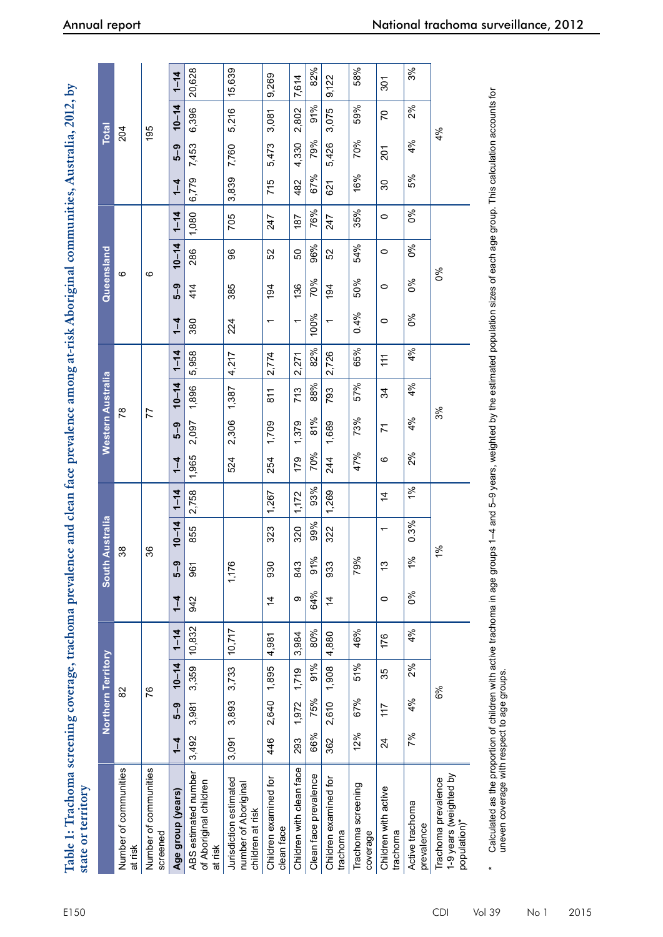| Table 1: Trachoma screening coverage, trachoma prevalence and clean face prevalence among at-risk Aboriginal communities, Australia, 2012, by<br>state or territory |         |                    |           |          |                |                |                  |                |         |                   |           |          |                          |            |           |          |         |              |           |          |
|---------------------------------------------------------------------------------------------------------------------------------------------------------------------|---------|--------------------|-----------|----------|----------------|----------------|------------------|----------------|---------|-------------------|-----------|----------|--------------------------|------------|-----------|----------|---------|--------------|-----------|----------|
|                                                                                                                                                                     |         | Northern Territory |           |          |                | South          | <b>Australia</b> |                |         | Western Australia |           |          |                          | Queensland |           |          |         | <b>Total</b> |           |          |
| Number of communities<br>at risk                                                                                                                                    |         |                    | 82        |          |                | 38             |                  |                |         | గ్గ               |           |          |                          | ဖ          |           |          |         | 204          |           |          |
| Number of communities<br>screened                                                                                                                                   |         |                    | 76        |          |                | 36             |                  |                |         | 77                |           |          |                          | ဖ          |           |          |         | 195          |           |          |
| Age group (years)                                                                                                                                                   | $1 - 4$ | 5-9                | $10 - 14$ | $1 - 14$ | $\frac{1}{4}$  | ဝှ<br>၁        | $10 - 14$        | $1 - 14$       | $1 - 4$ | 5-9               | $10 - 14$ | $1 - 14$ | $1 - 4$                  | 5-9        | $10 - 14$ | $1 - 14$ | $1 - 4$ | 5-9          | $10 - 14$ | $1 - 14$ |
| ABS estimated number<br>of Aboriginal children<br>at risk                                                                                                           | 3,492   | 3,981              | 3,359     | 10,832   | 942            | 967            | 855              | 2,758          | 1,965   | 2,097             | 1,896     | 5,958    | 380                      | 414        | 286       | 1,080    | 6,779   | 7,453        | 6,396     | 20,628   |
| Jurisdiction estimated<br>number of Aboriginal<br>children at risk                                                                                                  | 3,091   | 3,893              | 3,733     | 10,717   |                | 1,176          |                  |                | 524     | 2,306             | 1,387     | 4,217    | 224                      | 385        | 96        | 705      | 3,839   | 7,760        | 5,216     | 15,639   |
| Children examined for<br>clean face                                                                                                                                 | 446     | 2,640              | 1,895     | 4,981    | 4              | 930            | 323              | 1,267          | 254     | 1,709             | 811       | 2,774    | $\overline{\phantom{0}}$ | 194        | 52        | 247      | 715     | 5,473        | 3,081     | 9,269    |
| Children with clean face                                                                                                                                            | 293     | 1,972              | 1,719     | 3,984    | တ              | 843            | 320              | 1,172          | 179     | 1,379             | 713       | 2,271    | $\overline{ }$           | 136        | 50        | 187      | 482     | 4,330        | 2,802     | 7,614    |
| Clean face prevalence                                                                                                                                               | 66%     | 75%                | 91%       | 80%      | 64%            | 91%            | 99%              | 93%            | 70%     | 81%               | 88%       | 82%      | 100%                     | 70%        | 96%       | 76%      | 67%     | 79%          | 91%       | 82%      |
| Children examined for<br>trachoma                                                                                                                                   | 362     | 2,610              | 1,908     | 4,880    | $\overline{4}$ | 933            | 322              | 1,269          | 244     | 1,689             | 793       | 2,726    | $\overline{\phantom{0}}$ | 194        | 52        | 247      | 621     | 5,426        | 3,075     | 9,122    |
| Trachoma screening<br>coverage                                                                                                                                      | 12%     | 67%                | 51%       | 46%      |                | 79%            |                  |                | 47%     | 73%               | 57%       | 65%      | 0.4%                     | 50%        | 54%       | 35%      | 16%     | 70%          | 59%       | 58%      |
| Children with active<br>trachoma                                                                                                                                    | 24      | 117                | 35        | 176      | $\circ$        | ဗု             |                  | $\overline{4}$ | ဖ       | 71                | 34        | 11       | $\circ$                  | $\circ$    | $\circ$   | 0        | 30      | 201          | 20        | 301      |
| Active trachoma<br>prevalence                                                                                                                                       | 7%      | 4%                 | 2%        | 4%       | 0%             | $\frac{96}{6}$ | 0.3%             | $1\%$          | 2%      | 4%                | 4%        | 4%       | 0%                       | $\delta$   | 0%        | 0%       | 5%      | 4%           | 2%        | 3%       |
| 1-9 years (weighted by<br>Trachoma prevalence<br>population)*                                                                                                       |         |                    | 6%        |          |                | 1%             |                  |                |         | 3%                |           |          |                          | 0%         |           |          |         | 4%           |           |          |

Calculated as the proportion of children with active trachoma in age groups 1–4 and 5–9 years, weighted by the estimated population sizes of each age group. This calculation accounts for<br>uneven coverage with respect to age  $^*$  Calculated as the proportion of children with active trachoma in age groups 1–4 and 5–9 years, weighted by the estimated population sizes of each age group. This calculation accounts for uneven coverage with respect to age groups.

\*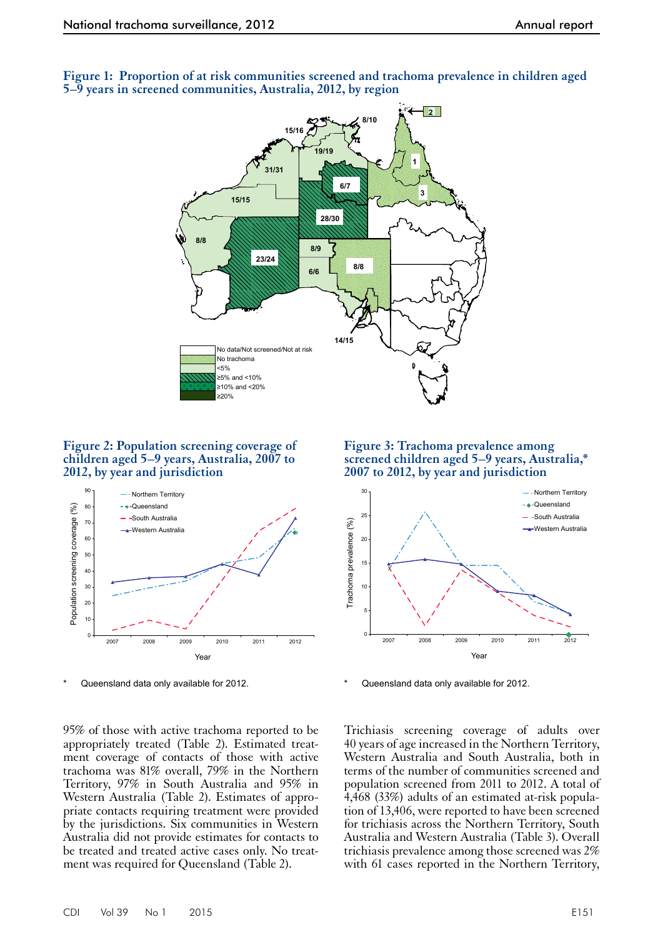

**Figure 1: Proportion of at risk communities screened and trachoma prevalence in children aged 5–9 years in screened communities, Australia, 2012, by region**

#### **Figure 2: Population screening coverage of children aged 5–9 years, Australia, 2007 to 2012, by year and jurisdiction**



Queensland data only available for 2012.

95% of those with active trachoma reported to be appropriately treated (Table 2). Estimated treat- ment coverage of contacts of those with active trachoma was 81% overall, 79% in the Northern Territory, 97% in South Australia and 95% in Western Australia (Table 2). Estimates of appropriate contacts requiring treatment were provided by the jurisdictions. Six communities in Western Australia did not provide estimates for contacts to be treated and treated active cases only. No treatment was required for Queensland (Table 2).

**Figure 3: Trachoma prevalence among screened children aged 5–9 years, Australia,\* 2007 to 2012, by year and jurisdiction**



Queensland data only available for 2012.

Trichiasis screening coverage of adults over 40 years of age increased in the Northern Territory, Western Australia and South Australia, both in terms of the number of communities screened and population screened from 2011 to 2012. A total of 4,468 (33%) adults of an estimated at-risk population of 13,406, were reported to have been screened for trichiasis across the Northern Territory, South Australia and Western Australia (Table 3). Overall trichiasis prevalence among those screened was 2% with 61 cases reported in the Northern Territory,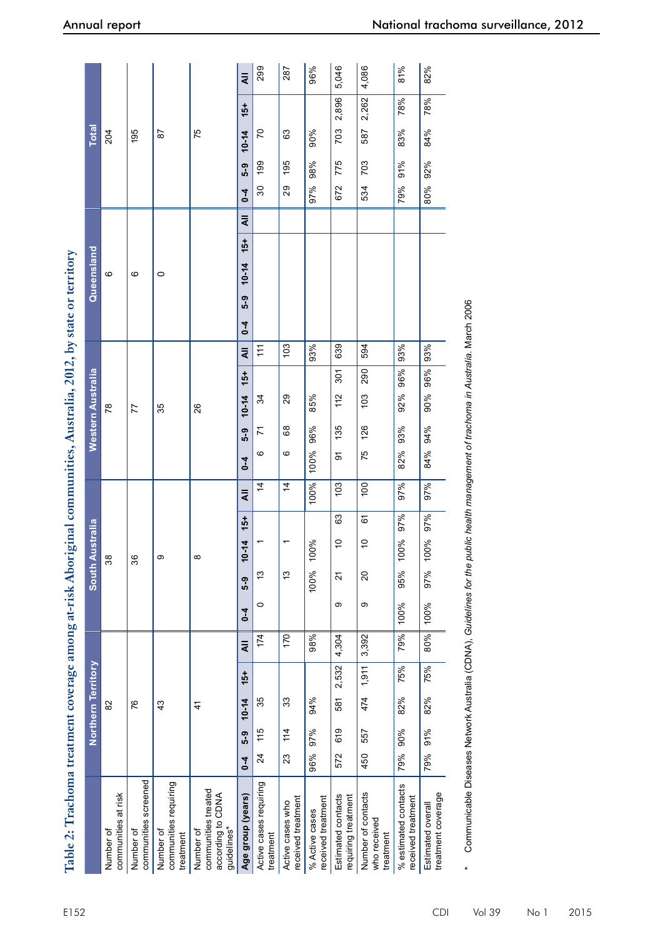|                    |                                  |                                   |                                                 |                                                                      | $\bar{a}$<br>$15+$   | 299                                 | 287                                    | 96%                                  | 5,046<br>2,896                            | 4,086<br>2,262                                  | 81%<br>78%                                 | 82%<br>78%                              |
|--------------------|----------------------------------|-----------------------------------|-------------------------------------------------|----------------------------------------------------------------------|----------------------|-------------------------------------|----------------------------------------|--------------------------------------|-------------------------------------------|-------------------------------------------------|--------------------------------------------|-----------------------------------------|
| <b>Total</b>       | 204                              | 195                               | 52                                              | 75                                                                   | $10 - 14$            | 20                                  | 63                                     | 90%                                  | 703                                       | 587                                             | 83%                                        | 84%                                     |
|                    |                                  |                                   |                                                 |                                                                      | 5-9                  | 199                                 | 195                                    | 98%                                  | 775                                       | 703                                             | 91%                                        | 92%                                     |
|                    |                                  |                                   |                                                 |                                                                      | $0 - 4$              | $\mathcal{S}^{\mathcal{C}}$         | 29                                     | 97%                                  | 672                                       | 534                                             | 79%                                        | 80%                                     |
|                    |                                  |                                   |                                                 |                                                                      | $\bar{a}$            |                                     |                                        |                                      |                                           |                                                 |                                            |                                         |
|                    |                                  |                                   |                                                 |                                                                      | $15+$                |                                     |                                        |                                      |                                           |                                                 |                                            |                                         |
| Queensland         | ဖ                                | ဖ                                 | $\circ$                                         |                                                                      | $10 - 14$            |                                     |                                        |                                      |                                           |                                                 |                                            |                                         |
|                    |                                  |                                   |                                                 |                                                                      | 5-9                  |                                     |                                        |                                      |                                           |                                                 |                                            |                                         |
|                    |                                  |                                   |                                                 |                                                                      | $0 - 4$<br>$\bar{a}$ | ź٤                                  | 103                                    | 93%                                  | 639                                       | 594                                             | 93%                                        | 93%                                     |
|                    |                                  |                                   |                                                 |                                                                      | $15+$                |                                     |                                        |                                      | 301                                       | 290                                             | 96%                                        | 96%                                     |
| Western Australia  | 78                               | 77                                | 35                                              | 26                                                                   | $10 - 14$            | 34                                  | 29                                     | 85%                                  | $\frac{2}{1}$                             | 103                                             | 92%                                        | 90%                                     |
|                    |                                  |                                   |                                                 |                                                                      | 5-9                  | 7                                   | 68                                     | 96%                                  | 135                                       | 126                                             | 93%                                        | 94%                                     |
|                    |                                  |                                   |                                                 |                                                                      | $0 - 4$              | $\circ$                             | ဖ                                      | 100%                                 | ଚ                                         | 75                                              | 82%                                        | 84%                                     |
|                    |                                  |                                   |                                                 |                                                                      | $\bar{a}$            | 4                                   | 4                                      | 100%                                 | 103                                       | $\overline{100}$                                | 97%                                        | 97%                                     |
|                    |                                  |                                   |                                                 |                                                                      | $15+$                |                                     |                                        |                                      | යි                                        | 6                                               | 97%                                        | 97%                                     |
| South Australia    | ని                               | ని                                |                                                 |                                                                      | $10 - 14$            |                                     | ↽                                      | 100%                                 | S)                                        | Ş                                               | 100%                                       | 100%                                    |
|                    |                                  |                                   |                                                 |                                                                      | 5-9                  | చ                                   | مبر<br>ب                               | 100%                                 | 21                                        | $\Omega$                                        | 95%                                        | 97%                                     |
|                    |                                  |                                   |                                                 |                                                                      | $0 - 4$              | $\circ$                             |                                        |                                      | တ                                         | တ                                               | 100%                                       | 100%                                    |
|                    |                                  |                                   |                                                 |                                                                      | $\overline{4}$       | 174                                 | 170                                    | 98%                                  | 4,304                                     | 3,392                                           | 79%                                        | 80%                                     |
|                    |                                  |                                   | 43                                              | 4                                                                    | $15+$                |                                     |                                        |                                      | 2,532                                     | 1,911                                           | 75%                                        | 75%                                     |
| Northern Territory | $\approx$                        | 97                                |                                                 |                                                                      | $10 - 14$            | 35                                  | 33                                     | 94%                                  | 581                                       | 474                                             | 82%                                        | 82%                                     |
|                    |                                  |                                   |                                                 |                                                                      | 5-9                  | 115                                 | 11<br>14                               | 97%                                  | 619                                       | 557                                             | 90%                                        | 91%                                     |
|                    |                                  |                                   |                                                 |                                                                      | $6 - 4$              | $\overline{24}$                     | 23                                     | 96%                                  | 572                                       | 450                                             | 79%                                        | 79%                                     |
|                    | communities at risk<br>Number of | communities screened<br>Number of | communities requiring<br>Number of<br>treatment | communities treated<br>according to CDNA<br>guidelines*<br>Number of | Age group (years)    | Active cases requiring<br>treatment | received treatment<br>Active cases who | received treatment<br>% Active cases | Estimated contacts<br>requiring treatment | Number of contacts<br>who received<br>treatment | % estimated contacts<br>received treatment | treatment coverage<br>Estimated overall |

Communicable Diseases Network Australia (CDNA), Guidelines for the public health management of trachoma in Australia. March 2006 Communicable Diseases Network Australia (CDNA), *Guidelines for the public health management of trachoma in Australia*. March 2006

\*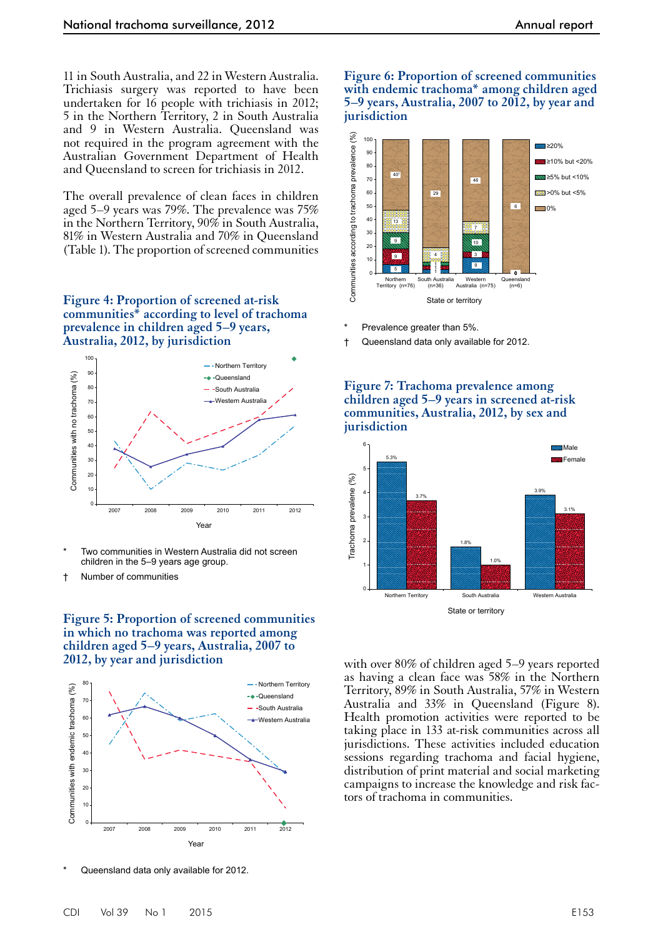11 in South Australia, and 22 in Western Australia. Trichiasis surgery was reported to have been undertaken for 16 people with trichiasis in 2012; 5 in the Northern Territory, 2 in South Australia and 9 in Western Australia. Queensland was not required in the program agreement with the Australian Government Department of Health and Queensland to screen for trichiasis in 2012.

The overall prevalence of clean faces in children aged 5–9 years was 79%. The prevalence was 75% in the Northern Territory, 90% in South Australia, 81% in Western Australia and 70% in Queensland (Table 1). The proportion of screened communities

**Figure 4: Proportion of screened at-risk communities\* according to level of trachoma prevalence in children aged 5–9 years, Australia, 2012, by jurisdiction**



Two communities in Western Australia did not screen children in the 5–9 years age group.

† Number of communities

**Figure 5: Proportion of screened communities in which no trachoma was reported among children aged 5–9 years, Australia, 2007 to 2012, by year and jurisdiction**



Queensland data only available for 2012.

#### **Figure 6: Proportion of screened communities with endemic trachoma\* among children aged 5–9 years, Australia, 2007 to 2012, by year and jurisdiction**



- Prevalence greater than 5%.
- † Queensland data only available for 2012.

#### **Figure 7: Trachoma prevalence among children aged 5–9 years in screened at-risk communities, Australia, 2012, by sex and jurisdiction**



with over 80% of children aged 5–9 years reported as having a clean face was 58% in the Northern Territory, 89% in South Australia, 57% in Western Australia and 33% in Queensland (Figure 8). Health promotion activities were reported to be taking place in 133 at-risk communities across all jurisdictions. These activities included education sessions regarding trachoma and facial hygiene, distribution of print material and social marketing campaigns to increase the knowledge and risk fac- tors of trachoma in communities.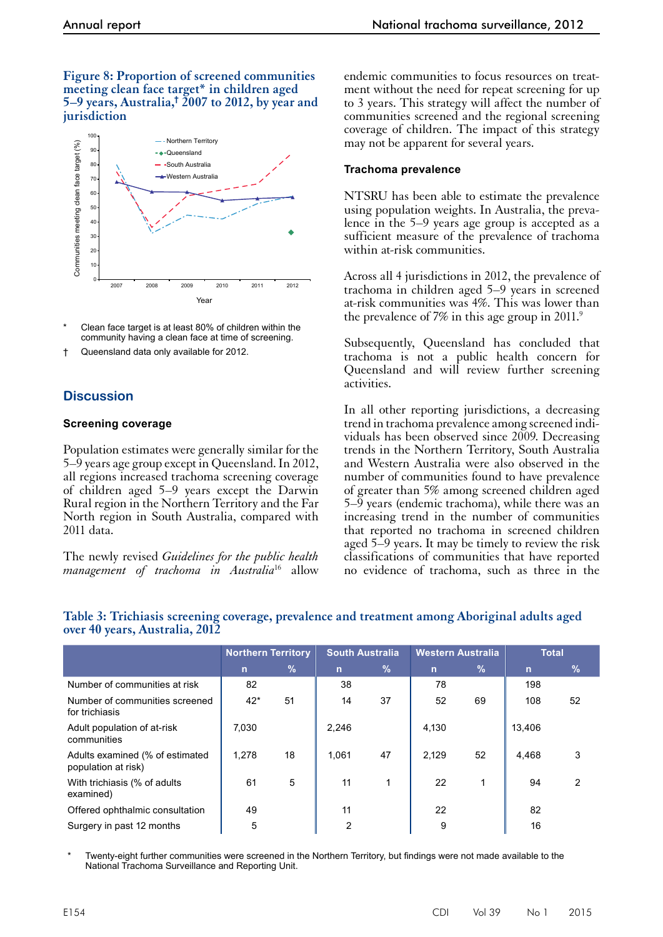#### **Figure 8: Proportion of screened communities meeting clean face target\* in children aged 5–9 years, Australia,† 2007 to 2012, by year and jurisdiction**



- Clean face target is at least 80% of children within the community having a clean face at time of screening.
- † Queensland data only available for 2012.

# **Discussion**

#### **Screening coverage**

Population estimates were generally similar for the 5–9 years age group except in Queensland. In 2012, all regions increased trachoma screening coverage of children aged 5–9 years except the Darwin Rural region in the Northern Territory and the Far North region in South Australia, compared with 2011 data.

The newly revised *Guidelines for the public health management of trachoma in Australia*<sup>16</sup> allow endemic communities to focus resources on treatment without the need for repeat screening for up to 3 years. This strategy will affect the number of communities screened and the regional screening coverage of children. The impact of this strategy may not be apparent for several years.

#### **Trachoma prevalence**

NTSRU has been able to estimate the prevalence using population weights. In Australia, the prevalence in the 5–9 years age group is accepted as a sufficient measure of the prevalence of trachoma within at-risk communities.

Across all 4 jurisdictions in 2012, the prevalence of trachoma in children aged 5–9 years in screened at-risk communities was 4%. This was lower than the prevalence of 7% in this age group in 2011.<sup>9</sup>

Subsequently, Queensland has concluded that trachoma is not a public health concern for Queensland and will review further screening activities.

In all other reporting jurisdictions, a decreasing trend in trachoma prevalence among screened individuals has been observed since 2009. Decreasing trends in the Northern Territory, South Australia and Western Australia were also observed in the number of communities found to have prevalence of greater than 5% among screened children aged 5–9 years (endemic trachoma), while there was an increasing trend in the number of communities that reported no trachoma in screened children aged 5–9 years. It may be timely to review the risk classifications of communities that have reported no evidence of trachoma, such as three in the

|                                                        | <b>Northern Territory</b> |      | <b>South Australia</b> |      | <b>Western Australia</b> |      | <b>Total</b> |      |
|--------------------------------------------------------|---------------------------|------|------------------------|------|--------------------------|------|--------------|------|
|                                                        | $\mathbf n$               | $\%$ | $\mathbf n$            | $\%$ | $\mathbf n$              | $\%$ | $\mathbf n$  | $\%$ |
| Number of communities at risk                          | 82                        |      | 38                     |      | 78                       |      | 198          |      |
| Number of communities screened<br>for trichiasis       | $42*$                     | 51   | 14                     | 37   | 52                       | 69   | 108          | 52   |
| Adult population of at-risk<br>communities             | 7.030                     |      | 2.246                  |      | 4.130                    |      | 13.406       |      |
| Adults examined (% of estimated<br>population at risk) | 1.278                     | 18   | 1.061                  | 47   | 2.129                    | 52   | 4.468        | 3    |
| With trichiasis (% of adults<br>examined)              | 61                        | 5    | 11                     | 1    | 22                       | 1    | 94           | 2    |
| Offered ophthalmic consultation                        | 49                        |      | 11                     |      | 22                       |      | 82           |      |
| Surgery in past 12 months                              | 5                         |      | 2                      |      | 9                        |      | 16           |      |

### **Table 3: Trichiasis screening coverage, prevalence and treatment among Aboriginal adults aged over 40 years, Australia, 2012**

Twenty-eight further communities were screened in the Northern Territory, but findings were not made available to the National Trachoma Surveillance and Reporting Unit.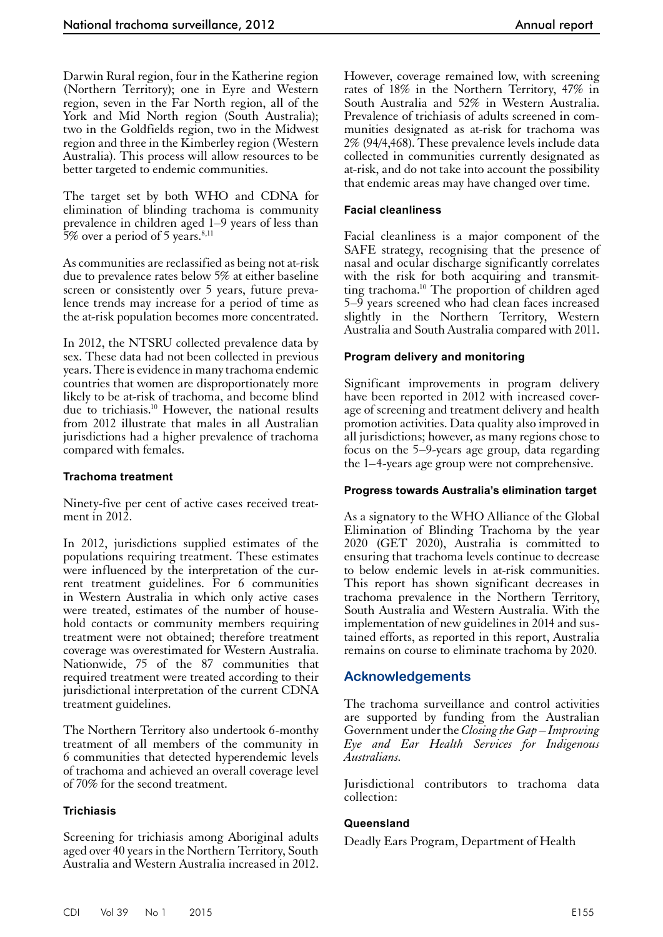Darwin Rural region, four in the Katherine region (Northern Territory); one in Eyre and Western region, seven in the Far North region, all of the York and Mid North region (South Australia); two in the Goldfields region, two in the Midwest region and three in the Kimberley region (Western Australia). This process will allow resources to be better targeted to endemic communities.

The target set by both WHO and CDNA for elimination of blinding trachoma is community prevalence in children aged 1–9 years of less than 5% over a period of 5 years. $8,11$ 

As communities are reclassified as being not at-risk due to prevalence rates below 5% at either baseline screen or consistently over 5 years, future prevalence trends may increase for a period of time as the at-risk population becomes more concentrated.

In 2012, the NTSRU collected prevalence data by sex. These data had not been collected in previous years. There is evidence in many trachoma endemic countries that women are disproportionately more likely to be at-risk of trachoma, and become blind due to trichiasis.<sup>10</sup> However, the national results from 2012 illustrate that males in all Australian jurisdictions had a higher prevalence of trachoma compared with females.

#### **Trachoma treatment**

Ninety-five per cent of active cases received treatment in 2012.

In 2012, jurisdictions supplied estimates of the populations requiring treatment. These estimates were influenced by the interpretation of the current treatment guidelines. For 6 communities in Western Australia in which only active cases were treated, estimates of the number of house- hold contacts or community members requiring treatment were not obtained; therefore treatment coverage was overestimated for Western Australia. Nationwide, 75 of the 87 communities that required treatment were treated according to their jurisdictional interpretation of the current CDNA treatment guidelines.

The Northern Territory also undertook 6-monthy treatment of all members of the community in 6 communities that detected hyperendemic levels of trachoma and achieved an overall coverage level of 70% for the second treatment.

#### **Trichiasis**

Screening for trichiasis among Aboriginal adults aged over 40 years in the Northern Territory, South Australia and Western Australia increased in 2012.

However, coverage remained low, with screening rates of 18% in the Northern Territory, 47% in South Australia and 52% in Western Australia. Prevalence of trichiasis of adults screened in communities designated as at-risk for trachoma was 2% (94/4,468). These prevalence levels include data collected in communities currently designated as at-risk, and do not take into account the possibility that endemic areas may have changed over time.

#### **Facial cleanliness**

Facial cleanliness is a major component of the SAFE strategy, recognising that the presence of nasal and ocular discharge significantly correlates with the risk for both acquiring and transmitting trachoma.10 The proportion of children aged 5–9 years screened who had clean faces increased slightly in the Northern Territory, Western Australia and South Australia compared with 2011.

#### **Program delivery and monitoring**

Significant improvements in program delivery have been reported in 2012 with increased coverage of screening and treatment delivery and health promotion activities. Data quality also improved in all jurisdictions; however, as many regions chose to focus on the 5–9-years age group, data regarding the 1–4-years age group were not comprehensive.

#### **Progress towards Australia's elimination target**

As a signatory to the WHO Alliance of the Global Elimination of Blinding Trachoma by the year 2020 (GET 2020), Australia is committed to ensuring that trachoma levels continue to decrease to below endemic levels in at-risk communities. This report has shown significant decreases in trachoma prevalence in the Northern Territory, South Australia and Western Australia. With the implementation of new guidelines in 2014 and sus- tained efforts, as reported in this report, Australia remains on course to eliminate trachoma by 2020.

#### **Acknowledgements**

The trachoma surveillance and control activities are supported by funding from the Australian Government under the *Closing the Gap – Improving Eye and Ear Health Services for Indigenous Australians.*

Jurisdictional contributors to trachoma data collection:

#### **Queensland**

Deadly Ears Program, Department of Health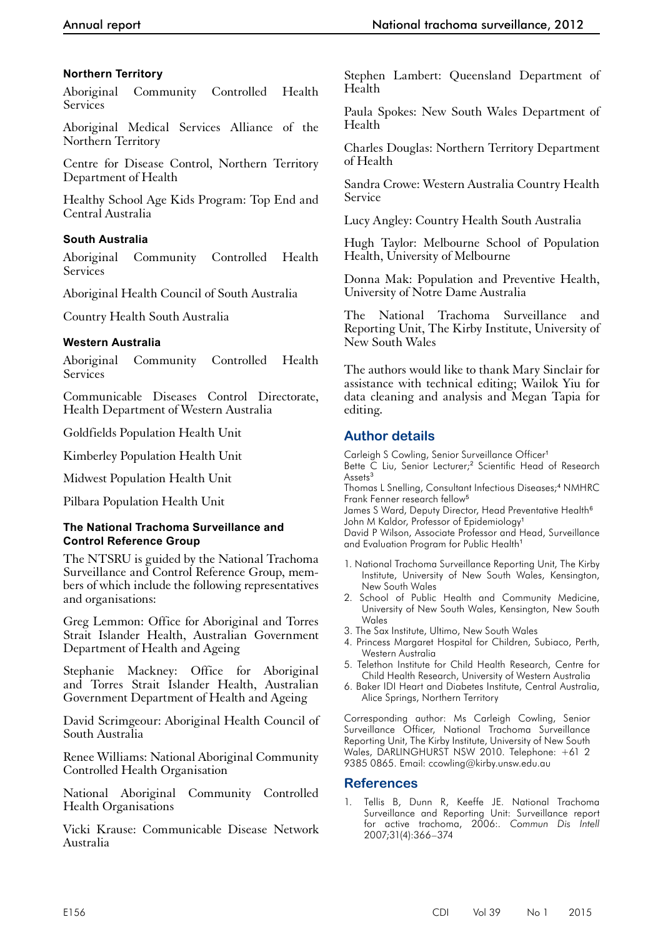# **Northern Territory**

Aboriginal Community Controlled Health **Services** 

Aboriginal Medical Services Alliance of the Northern Territory

Centre for Disease Control, Northern Territory Department of Health

Healthy School Age Kids Program: Top End and Central Australia

# **South Australia**

Aboriginal Community Controlled Health Services

Aboriginal Health Council of South Australia

Country Health South Australia

# **Western Australia**

Aboriginal Community Controlled Health Services

Communicable Diseases Control Directorate, Health Department of Western Australia

Goldfields Population Health Unit

Kimberley Population Health Unit

Midwest Population Health Unit

Pilbara Population Health Unit

# **The National Trachoma Surveillance and Control Reference Group**

The NTSRU is guided by the National Trachoma Surveillance and Control Reference Group, members of which include the following representatives and organisations:

Greg Lemmon: Office for Aboriginal and Torres Strait Islander Health, Australian Government Department of Health and Ageing

Stephanie Mackney: Office for Aboriginal and Torres Strait Islander Health, Australian Government Department of Health and Ageing

David Scrimgeour: Aboriginal Health Council of South Australia

Renee Williams: National Aboriginal Community Controlled Health Organisation

National Aboriginal Community Controlled Health Organisations

Vicki Krause: Communicable Disease Network Australia

Stephen Lambert: Queensland Department of Health

Paula Spokes: New South Wales Department of Health

Charles Douglas: Northern Territory Department of Health

Sandra Crowe: Western Australia Country Health Service

Lucy Angley: Country Health South Australia

Hugh Taylor: Melbourne School of Population Health, University of Melbourne

Donna Mak: Population and Preventive Health, University of Notre Dame Australia

The National Trachoma Surveillance and Reporting Unit, The Kirby Institute, University of New South Wales

The authors would like to thank Mary Sinclair for assistance with technical editing; Wailok Yiu for data cleaning and analysis and Megan Tapia for editing.

# **Author details**

Carleigh S Cowling, Senior Surveillance Officer<sup>1</sup>

Bette C Liu, Senior Lecturer;<sup>2</sup> Scientific Head of Research Assets<sup>3</sup>

Thomas L Snelling, Consultant Infectious Diseases;<sup>4</sup> NMHRC Frank Fenner research fellow<sup>5</sup>

James S Ward, Deputy Director, Head Preventative Health<sup>6</sup> John M Kaldor, Professor of Epidemiology<sup>1</sup>

David P Wilson, Associate Professor and Head, Surveillance and Evaluation Program for Public Health<sup>1</sup>

- 1. National Trachoma Surveillance Reporting Unit, The Kirby Institute, University of New South Wales, Kensington, New South Wales
- 2. School of Public Health and Community Medicine, University of New South Wales, Kensington, New South Wales
- 3. The Sax Institute, Ultimo, New South Wales
- 4. Princess Margaret Hospital for Children, Subiaco, Perth, Western Australia
- 5. Telethon Institute for Child Health Research, Centre for Child Health Research, University of Western Australia
- 6. Baker IDI Heart and Diabetes Institute, Central Australia, Alice Springs, Northern Territory

Corresponding author: Ms Carleigh Cowling, Senior Surveillance Officer, National Trachoma Surveillance Reporting Unit, The Kirby Institute, University of New South Wales, DARLINGHURST NSW 2010. Telephone: +61 2 9385 0865. Email: ccowling@kirby.unsw.edu.au

# **References**

Tellis B, Dunn R, Keeffe JE. National Trachoma Surveillance and Reporting Unit: Surveillance report for active trachoma, 2006:. *Commun Dis Intell* 2007;31(4):366–374